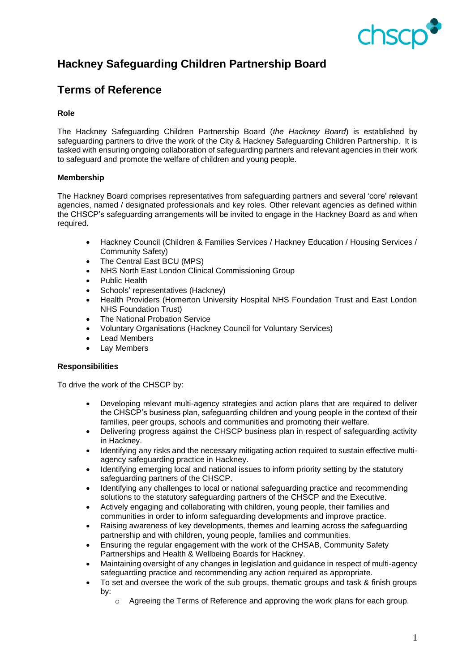

# **Hackney Safeguarding Children Partnership Board**

## **Terms of Reference**

### **Role**

The Hackney Safeguarding Children Partnership Board (*the Hackney Board*) is established by safeguarding partners to drive the work of the City & Hackney Safeguarding Children Partnership. It is tasked with ensuring ongoing collaboration of safeguarding partners and relevant agencies in their work to safeguard and promote the welfare of children and young people.

#### **Membership**

The Hackney Board comprises representatives from safeguarding partners and several 'core' relevant agencies, named / designated professionals and key roles. Other relevant agencies as defined within the CHSCP's safeguarding arrangements will be invited to engage in the Hackney Board as and when required.

- Hackney Council (Children & Families Services / Hackney Education / Housing Services / Community Safety)
- The Central East BCU (MPS)
- NHS North East London Clinical Commissioning Group
- Public Health
- Schools' representatives (Hackney)
- Health Providers (Homerton University Hospital NHS Foundation Trust and East London NHS Foundation Trust)
- **The National Probation Service**
- Voluntary Organisations (Hackney Council for Voluntary Services)
- Lead Members
- **Lay Members**

#### **Responsibilities**

To drive the work of the CHSCP by:

- Developing relevant multi-agency strategies and action plans that are required to deliver the CHSCP's business plan, safeguarding children and young people in the context of their families, peer groups, schools and communities and promoting their welfare.
- Delivering progress against the CHSCP business plan in respect of safeguarding activity in Hackney.
- Identifying any risks and the necessary mitigating action required to sustain effective multiagency safeguarding practice in Hackney.
- Identifying emerging local and national issues to inform priority setting by the statutory safeguarding partners of the CHSCP.
- Identifying any challenges to local or national safeguarding practice and recommending solutions to the statutory safeguarding partners of the CHSCP and the Executive.
- Actively engaging and collaborating with children, young people, their families and communities in order to inform safeguarding developments and improve practice.
- Raising awareness of key developments, themes and learning across the safeguarding partnership and with children, young people, families and communities.
- Ensuring the regular engagement with the work of the CHSAB, Community Safety Partnerships and Health & Wellbeing Boards for Hackney.
- Maintaining oversight of any changes in legislation and guidance in respect of multi-agency safeguarding practice and recommending any action required as appropriate.
- To set and oversee the work of the sub groups, thematic groups and task & finish groups by:
	- o Agreeing the Terms of Reference and approving the work plans for each group.